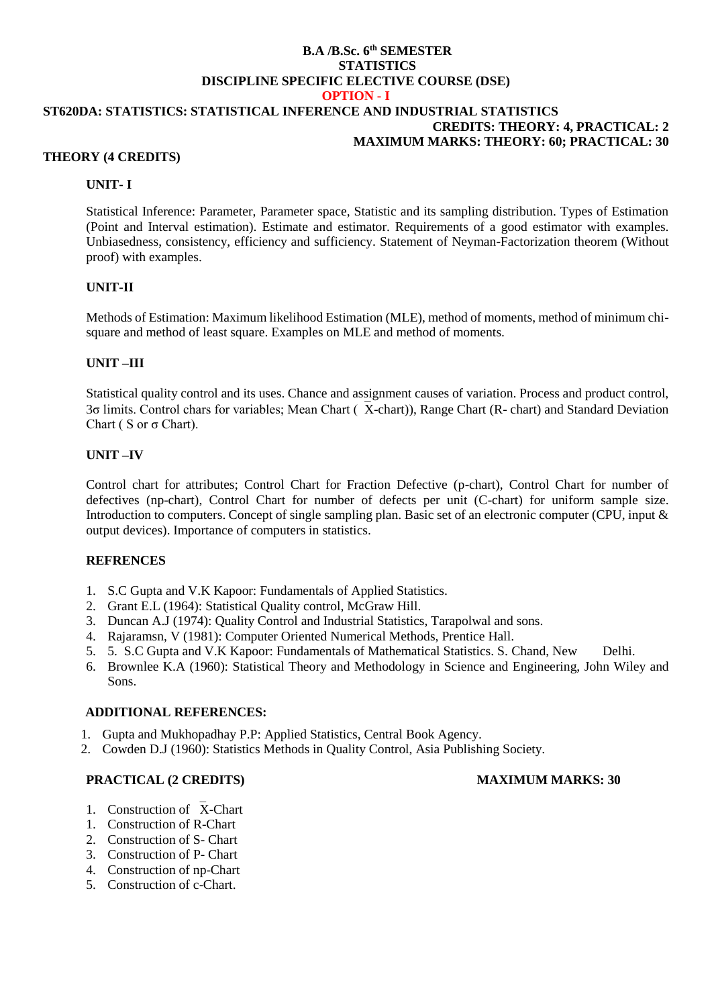#### **B.A /B.Sc. 6 th SEMESTER STATISTICS DISCIPLINE SPECIFIC ELECTIVE COURSE (DSE) OPTION - I**

# **ST620DA: STATISTICS: STATISTICAL INFERENCE AND INDUSTRIAL STATISTICS CREDITS: THEORY: 4, PRACTICAL: 2 MAXIMUM MARKS: THEORY: 60; PRACTICAL: 30**

### **THEORY (4 CREDITS)**

## **UNIT- I**

Statistical Inference: Parameter, Parameter space, Statistic and its sampling distribution. Types of Estimation (Point and Interval estimation). Estimate and estimator. Requirements of a good estimator with examples. Unbiasedness, consistency, efficiency and sufficiency. Statement of Neyman-Factorization theorem (Without proof) with examples.

### **UNIT-II**

Methods of Estimation: Maximum likelihood Estimation (MLE), method of moments, method of minimum chisquare and method of least square. Examples on MLE and method of moments.

# **UNIT –III**

Statistical quality control and its uses. Chance and assignment causes of variation. Process and product control, 3 $\sigma$  limits. Control chars for variables; Mean Chart ( $\bar{X}$ -chart)), Range Chart (R- chart) and Standard Deviation Chart ( S or σ Chart).

# **UNIT –IV**

Control chart for attributes; Control Chart for Fraction Defective (p-chart), Control Chart for number of defectives (np-chart), Control Chart for number of defects per unit (C-chart) for uniform sample size. Introduction to computers. Concept of single sampling plan. Basic set of an electronic computer (CPU, input & output devices). Importance of computers in statistics.

### **REFRENCES**

- 1. S.C Gupta and V.K Kapoor: Fundamentals of Applied Statistics.
- 2. Grant E.L (1964): Statistical Quality control, McGraw Hill.
- 3. Duncan A.J (1974): Quality Control and Industrial Statistics, Tarapolwal and sons.
- 4. Rajaramsn, V (1981): Computer Oriented Numerical Methods, Prentice Hall.
- 5. 5. S.C Gupta and V.K Kapoor: Fundamentals of Mathematical Statistics. S. Chand, New Delhi.
- 6. Brownlee K.A (1960): Statistical Theory and Methodology in Science and Engineering, John Wiley and Sons.

# **ADDITIONAL REFERENCES:**

- 1. Gupta and Mukhopadhay P.P: Applied Statistics, Central Book Agency.
- 2. Cowden D.J (1960): Statistics Methods in Quality Control, Asia Publishing Society.

# **PRACTICAL (2 CREDITS) MAXIMUM MARKS: 30**

- 1. Construction of X-Chart
- 1. Construction of R-Chart
- 2. Construction of S- Chart
- 3. Construction of P- Chart
- 4. Construction of np-Chart
- 5. Construction of c-Chart.